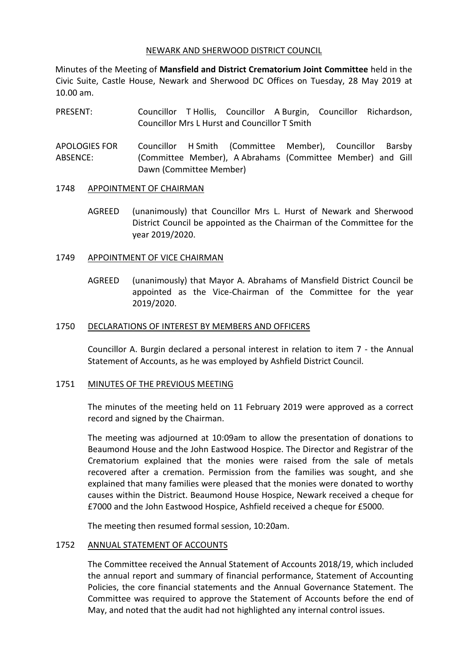## NEWARK AND SHERWOOD DISTRICT COUNCIL

Minutes of the Meeting of **Mansfield and District Crematorium Joint Committee** held in the Civic Suite, Castle House, Newark and Sherwood DC Offices on Tuesday, 28 May 2019 at 10.00 am.

PRESENT: Councillor T Hollis, Councillor A Burgin, Councillor Richardson, Councillor Mrs L Hurst and Councillor T Smith

APOLOGIES FOR ABSENCE: Councillor H Smith (Committee Member), Councillor Barsby (Committee Member), A Abrahams (Committee Member) and Gill Dawn (Committee Member)

# 1748 APPOINTMENT OF CHAIRMAN

AGREED (unanimously) that Councillor Mrs L. Hurst of Newark and Sherwood District Council be appointed as the Chairman of the Committee for the year 2019/2020.

# 1749 APPOINTMENT OF VICE CHAIRMAN

AGREED (unanimously) that Mayor A. Abrahams of Mansfield District Council be appointed as the Vice-Chairman of the Committee for the year 2019/2020.

## 1750 DECLARATIONS OF INTEREST BY MEMBERS AND OFFICERS

Councillor A. Burgin declared a personal interest in relation to item 7 - the Annual Statement of Accounts, as he was employed by Ashfield District Council.

#### 1751 MINUTES OF THE PREVIOUS MEETING

The minutes of the meeting held on 11 February 2019 were approved as a correct record and signed by the Chairman.

The meeting was adjourned at 10:09am to allow the presentation of donations to Beaumond House and the John Eastwood Hospice. The Director and Registrar of the Crematorium explained that the monies were raised from the sale of metals recovered after a cremation. Permission from the families was sought, and she explained that many families were pleased that the monies were donated to worthy causes within the District. Beaumond House Hospice, Newark received a cheque for £7000 and the John Eastwood Hospice, Ashfield received a cheque for £5000.

The meeting then resumed formal session, 10:20am.

# 1752 ANNUAL STATEMENT OF ACCOUNTS

The Committee received the Annual Statement of Accounts 2018/19, which included the annual report and summary of financial performance, Statement of Accounting Policies, the core financial statements and the Annual Governance Statement. The Committee was required to approve the Statement of Accounts before the end of May, and noted that the audit had not highlighted any internal control issues.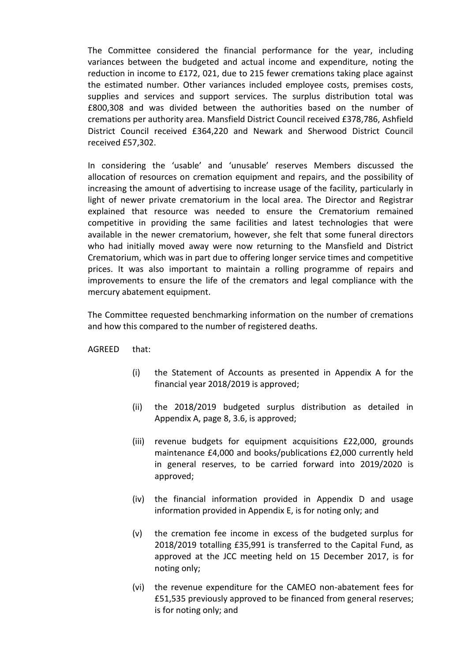The Committee considered the financial performance for the year, including variances between the budgeted and actual income and expenditure, noting the reduction in income to £172, 021, due to 215 fewer cremations taking place against the estimated number. Other variances included employee costs, premises costs, supplies and services and support services. The surplus distribution total was £800,308 and was divided between the authorities based on the number of cremations per authority area. Mansfield District Council received £378,786, Ashfield District Council received £364,220 and Newark and Sherwood District Council received £57,302.

In considering the 'usable' and 'unusable' reserves Members discussed the allocation of resources on cremation equipment and repairs, and the possibility of increasing the amount of advertising to increase usage of the facility, particularly in light of newer private crematorium in the local area. The Director and Registrar explained that resource was needed to ensure the Crematorium remained competitive in providing the same facilities and latest technologies that were available in the newer crematorium, however, she felt that some funeral directors who had initially moved away were now returning to the Mansfield and District Crematorium, which was in part due to offering longer service times and competitive prices. It was also important to maintain a rolling programme of repairs and improvements to ensure the life of the cremators and legal compliance with the mercury abatement equipment.

The Committee requested benchmarking information on the number of cremations and how this compared to the number of registered deaths.

AGREED that:

- (i) the Statement of Accounts as presented in Appendix A for the financial year 2018/2019 is approved;
- (ii) the 2018/2019 budgeted surplus distribution as detailed in Appendix A, page 8, 3.6, is approved;
- (iii) revenue budgets for equipment acquisitions £22,000, grounds maintenance £4,000 and books/publications £2,000 currently held in general reserves, to be carried forward into 2019/2020 is approved;
- (iv) the financial information provided in Appendix D and usage information provided in Appendix E, is for noting only; and
- (v) the cremation fee income in excess of the budgeted surplus for 2018/2019 totalling £35,991 is transferred to the Capital Fund, as approved at the JCC meeting held on 15 December 2017, is for noting only;
- (vi) the revenue expenditure for the CAMEO non-abatement fees for £51,535 previously approved to be financed from general reserves; is for noting only; and